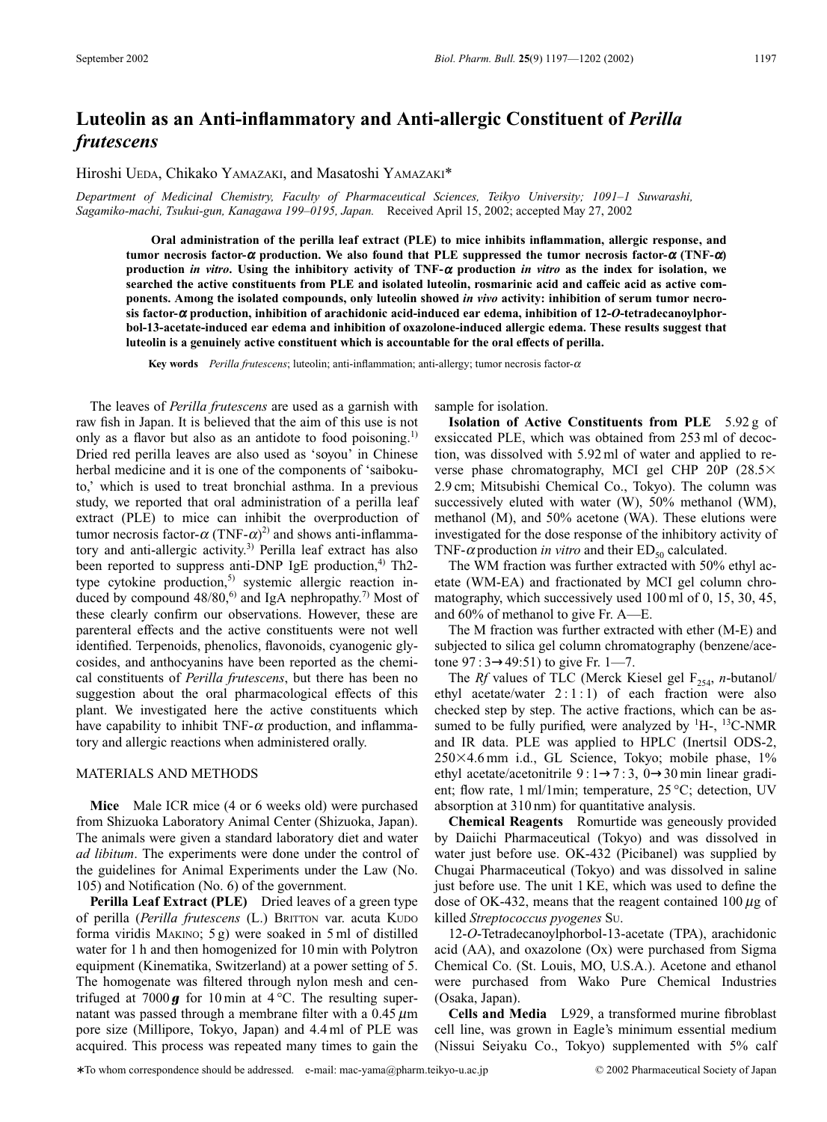# **Luteolin as an Anti-inflammatory and Anti-allergic Constituent of** *Perilla frutescens*

Hiroshi UEDA, Chikako YAMAZAKI, and Masatoshi YAMAZAKI\*

*Department of Medicinal Chemistry, Faculty of Pharmaceutical Sciences, Teikyo University; 1091–1 Suwarashi, Sagamiko-machi, Tsukui-gun, Kanagawa 199–0195, Japan.* Received April 15, 2002; accepted May 27, 2002

**Oral administration of the perilla leaf extract (PLE) to mice inhibits inflammation, allergic response, and**  $t$ umor necrosis factor- $\alpha$  production. We also found that PLE suppressed the tumor necrosis factor- $\alpha$  (TNF- $\alpha$ ) **production** *in vitro***. Using the inhibitory activity of TNF-**<sup>a</sup> **production** *in vitro* **as the index for isolation, we searched the active constituents from PLE and isolated luteolin, rosmarinic acid and caffeic acid as active components. Among the isolated compounds, only luteolin showed** *in vivo* **activity: inhibition of serum tumor necrosis factor-**<sup>a</sup> **production, inhibition of arachidonic acid-induced ear edema, inhibition of 12-***O***-tetradecanoylphorbol-13-acetate-induced ear edema and inhibition of oxazolone-induced allergic edema. These results suggest that luteolin is a genuinely active constituent which is accountable for the oral effects of perilla.**

**Key words** *Perilla frutescens*; luteolin; anti-inflammation; anti-allergy; tumor necrosis factor- $\alpha$ 

The leaves of *Perilla frutescens* are used as a garnish with raw fish in Japan. It is believed that the aim of this use is not only as a flavor but also as an antidote to food poisoning.<sup>1)</sup> Dried red perilla leaves are also used as 'soyou' in Chinese herbal medicine and it is one of the components of 'saibokuto,' which is used to treat bronchial asthma. In a previous study, we reported that oral administration of a perilla leaf extract (PLE) to mice can inhibit the overproduction of tumor necrosis factor- $\alpha$  (TNF- $\alpha$ )<sup>2)</sup> and shows anti-inflammatory and anti-allergic activity.<sup>3)</sup> Perilla leaf extract has also been reported to suppress anti-DNP IgE production, $4$ <sup>)</sup> Th2type cytokine production,<sup>5)</sup> systemic allergic reaction induced by compound  $48/80$ ,<sup>6)</sup> and IgA nephropathy.<sup>7)</sup> Most of these clearly confirm our observations. However, these are parenteral effects and the active constituents were not well identified. Terpenoids, phenolics, flavonoids, cyanogenic glycosides, and anthocyanins have been reported as the chemical constituents of *Perilla frutescens*, but there has been no suggestion about the oral pharmacological effects of this plant. We investigated here the active constituents which have capability to inhibit TNF- $\alpha$  production, and inflammatory and allergic reactions when administered orally.

## MATERIALS AND METHODS

**Mice** Male ICR mice (4 or 6 weeks old) were purchased from Shizuoka Laboratory Animal Center (Shizuoka, Japan). The animals were given a standard laboratory diet and water *ad libitum*. The experiments were done under the control of the guidelines for Animal Experiments under the Law (No. 105) and Notification (No. 6) of the government.

**Perilla Leaf Extract (PLE)** Dried leaves of a green type of perilla (*Perilla frutescens* (L.) BRITTON var. acuta KUDO forma viridis MAKINO; 5 g) were soaked in 5 ml of distilled water for 1 h and then homogenized for 10 min with Polytron equipment (Kinematika, Switzerland) at a power setting of 5. The homogenate was filtered through nylon mesh and centrifuged at  $7000\,\text{g}$  for 10 min at  $4^{\circ}\text{C}$ . The resulting supernatant was passed through a membrane filter with a  $0.45 \mu m$ pore size (Millipore, Tokyo, Japan) and 4.4 ml of PLE was acquired. This process was repeated many times to gain the sample for isolation.

**Isolation of Active Constituents from PLE** 5.92 g of exsiccated PLE, which was obtained from 253 ml of decoction, was dissolved with 5.92 ml of water and applied to reverse phase chromatography, MCI gel CHP 20P  $(28.5\times$ 2.9 cm; Mitsubishi Chemical Co., Tokyo). The column was successively eluted with water (W), 50% methanol (WM), methanol (M), and 50% acetone (WA). These elutions were investigated for the dose response of the inhibitory activity of TNF- $\alpha$  production *in vitro* and their ED<sub>50</sub> calculated.

The WM fraction was further extracted with 50% ethyl acetate (WM-EA) and fractionated by MCI gel column chromatography, which successively used 100 ml of 0, 15, 30, 45, and 60% of methanol to give Fr. A—E.

The M fraction was further extracted with ether (M-E) and subjected to silica gel column chromatography (benzene/acetone 97 : 3→49:51) to give Fr. 1—7.

The *Rf* values of TLC (Merck Kiesel gel F<sub>254</sub>, *n*-butanol/ ethyl acetate/water  $2:1:1$ ) of each fraction were also checked step by step. The active fractions, which can be assumed to be fully purified, were analyzed by  ${}^{1}H$ -,  ${}^{13}C$ -NMR and IR data. PLE was applied to HPLC (Inertsil ODS-2,  $250\times4.6$  mm i.d., GL Science, Tokyo; mobile phase,  $1\%$ ethyl acetate/acetonitrile  $9:1\rightarrow 7:3$ ,  $0\rightarrow 30$  min linear gradient; flow rate, 1 ml/1min; temperature, 25 °C; detection, UV absorption at 310 nm) for quantitative analysis.

**Chemical Reagents** Romurtide was geneously provided by Daiichi Pharmaceutical (Tokyo) and was dissolved in water just before use. OK-432 (Picibanel) was supplied by Chugai Pharmaceutical (Tokyo) and was dissolved in saline just before use. The unit 1 KE, which was used to define the dose of OK-432, means that the reagent contained  $100 \mu$ g of killed *Streptococcus pyogenes* SU.

12-*O*-Tetradecanoylphorbol-13-acetate (TPA), arachidonic acid (AA), and oxazolone (Ox) were purchased from Sigma Chemical Co. (St. Louis, MO, U.S.A.). Acetone and ethanol were purchased from Wako Pure Chemical Industries (Osaka, Japan).

**Cells and Media** L929, a transformed murine fibroblast cell line, was grown in Eagle's minimum essential medium (Nissui Seiyaku Co., Tokyo) supplemented with 5% calf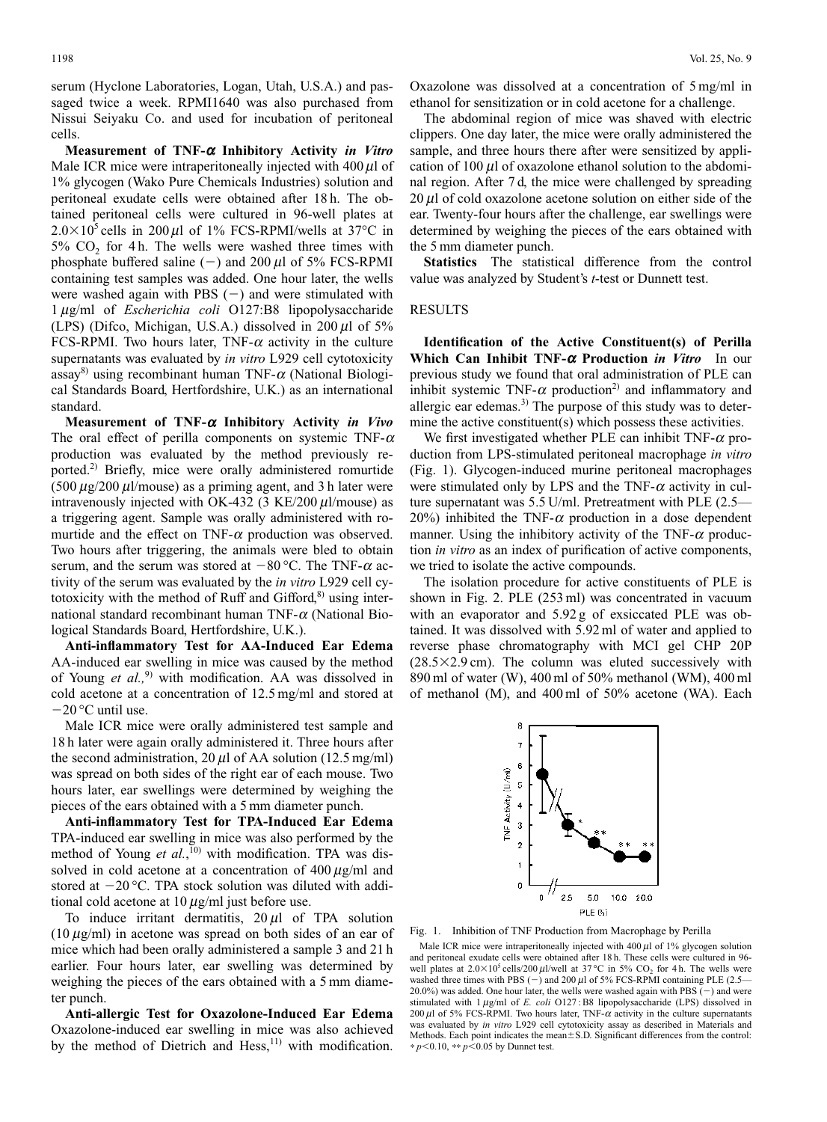serum (Hyclone Laboratories, Logan, Utah, U.S.A.) and passaged twice a week. RPMI1640 was also purchased from Nissui Seiyaku Co. and used for incubation of peritoneal cells.

**Measurement of TNF-**<sup>a</sup> **Inhibitory Activity** *in Vitro* Male ICR mice were intraperitoneally injected with  $400 \mu l$  of 1% glycogen (Wako Pure Chemicals Industries) solution and peritoneal exudate cells were obtained after 18 h. The obtained peritoneal cells were cultured in 96-well plates at  $2.0\times10^5$  cells in 200 µl of 1% FCS-RPMI/wells at 37°C in  $5\%$  CO<sub>2</sub> for 4h. The wells were washed three times with phosphate buffered saline (-) and 200  $\mu$ l of 5% FCS-RPMI containing test samples was added. One hour later, the wells were washed again with PBS  $(-)$  and were stimulated with 1 mg/ml of *Escherichia coli* O127:B8 lipopolysaccharide (LPS) (Difco, Michigan, U.S.A.) dissolved in  $200 \mu l$  of 5% FCS-RPMI. Two hours later, TNF- $\alpha$  activity in the culture supernatants was evaluated by *in vitro* L929 cell cytotoxicity assay<sup>8)</sup> using recombinant human TNF- $\alpha$  (National Biological Standards Board, Hertfordshire, U.K.) as an international standard.

**Measurement of TNF-**<sup>a</sup> **Inhibitory Activity** *in Vivo* The oral effect of perilla components on systemic TNF- $\alpha$ production was evaluated by the method previously reported.2) Briefly, mice were orally administered romurtide  $(500 \mu g/200 \mu l/mouse)$  as a priming agent, and 3 h later were intravenously injected with OK-432 (3 KE/200  $\mu$ l/mouse) as a triggering agent. Sample was orally administered with romurtide and the effect on TNF- $\alpha$  production was observed. Two hours after triggering, the animals were bled to obtain serum, and the serum was stored at  $-80$  °C. The TNF- $\alpha$  activity of the serum was evaluated by the *in vitro* L929 cell cytotoxicity with the method of Ruff and Gifford, $8$ ) using international standard recombinant human TNF- $\alpha$  (National Biological Standards Board, Hertfordshire, U.K.).

**Anti-inflammatory Test for AA-Induced Ear Edema** AA-induced ear swelling in mice was caused by the method of Young et al.,<sup>9)</sup> with modification. AA was dissolved in cold acetone at a concentration of 12.5 mg/ml and stored at  $-20$  °C until use.

Male ICR mice were orally administered test sample and 18 h later were again orally administered it. Three hours after the second administration, 20  $\mu$ l of AA solution (12.5 mg/ml) was spread on both sides of the right ear of each mouse. Two hours later, ear swellings were determined by weighing the pieces of the ears obtained with a 5 mm diameter punch.

**Anti-inflammatory Test for TPA-Induced Ear Edema** TPA-induced ear swelling in mice was also performed by the method of Young *et al.*,<sup>10)</sup> with modification. TPA was dissolved in cold acetone at a concentration of  $400 \mu g/ml$  and stored at  $-20$  °C. TPA stock solution was diluted with additional cold acetone at  $10 \mu g/ml$  just before use.

To induce irritant dermatitis,  $20 \mu l$  of TPA solution  $(10 \,\mu\text{g/ml})$  in acetone was spread on both sides of an ear of mice which had been orally administered a sample 3 and 21 h earlier. Four hours later, ear swelling was determined by weighing the pieces of the ears obtained with a 5 mm diameter punch.

**Anti-allergic Test for Oxazolone-Induced Ear Edema** Oxazolone-induced ear swelling in mice was also achieved by the method of Dietrich and Hess, $11)$  with modification.

Oxazolone was dissolved at a concentration of 5 mg/ml in ethanol for sensitization or in cold acetone for a challenge.

The abdominal region of mice was shaved with electric clippers. One day later, the mice were orally administered the sample, and three hours there after were sensitized by application of 100  $\mu$ l of oxazolone ethanol solution to the abdominal region. After 7 d, the mice were challenged by spreading  $20 \mu l$  of cold oxazolone acetone solution on either side of the ear. Twenty-four hours after the challenge, ear swellings were determined by weighing the pieces of the ears obtained with the 5 mm diameter punch.

**Statistics** The statistical difference from the control value was analyzed by Student's *t*-test or Dunnett test.

# RESULTS

**Identification of the Active Constituent(s) of Perilla Which Can Inhibit TNF-**<sup>a</sup> **Production** *in Vitro* In our previous study we found that oral administration of PLE can inhibit systemic TNF- $\alpha$  production<sup>2)</sup> and inflammatory and allergic ear edemas.<sup>3)</sup> The purpose of this study was to determine the active constituent(s) which possess these activities.

We first investigated whether PLE can inhibit TNF- $\alpha$  production from LPS-stimulated peritoneal macrophage *in vitro* (Fig. 1). Glycogen-induced murine peritoneal macrophages were stimulated only by LPS and the TNF- $\alpha$  activity in culture supernatant was 5.5 U/ml. Pretreatment with PLE (2.5— 20%) inhibited the TNF- $\alpha$  production in a dose dependent manner. Using the inhibitory activity of the TNF- $\alpha$  production *in vitro* as an index of purification of active components, we tried to isolate the active compounds.

The isolation procedure for active constituents of PLE is shown in Fig. 2. PLE (253 ml) was concentrated in vacuum with an evaporator and 5.92 g of exsiccated PLE was obtained. It was dissolved with 5.92 ml of water and applied to reverse phase chromatography with MCI gel CHP 20P  $(28.5\times2.9 \text{ cm})$ . The column was eluted successively with 890 ml of water (W), 400 ml of 50% methanol (WM), 400 ml of methanol (M), and 400 ml of 50% acetone (WA). Each



Fig. 1. Inhibition of TNF Production from Macrophage by Perilla

Male ICR mice were intraperitoneally injected with  $400 \mu l$  of 1% glycogen solution and peritoneal exudate cells were obtained after 18 h. These cells were cultured in 96 well plates at  $2.0\times10^5$  cells/200  $\mu$ l/well at 37 °C in 5% CO<sub>2</sub> for 4 h. The wells were washed three times with PBS  $(-)$  and 200  $\mu$ l of 5% FCS-RPMI containing PLE (2.5– 20.0%) was added. One hour later, the wells were washed again with PBS  $\vec{(-)}$  and were stimulated with  $1 \mu g/ml$  of *E. coli* O127: B8 lipopolysaccharide (LPS) dissolved in 200  $\mu$ l of 5% FCS-RPMI. Two hours later, TNF- $\alpha$  activity in the culture supernatants was evaluated by *in vitro* L929 cell cytotoxicity assay as described in Materials and Methods. Each point indicates the mean±S.D. Significant differences from the control: \* *p*,0.10, \*\* *p*,0.05 by Dunnet test.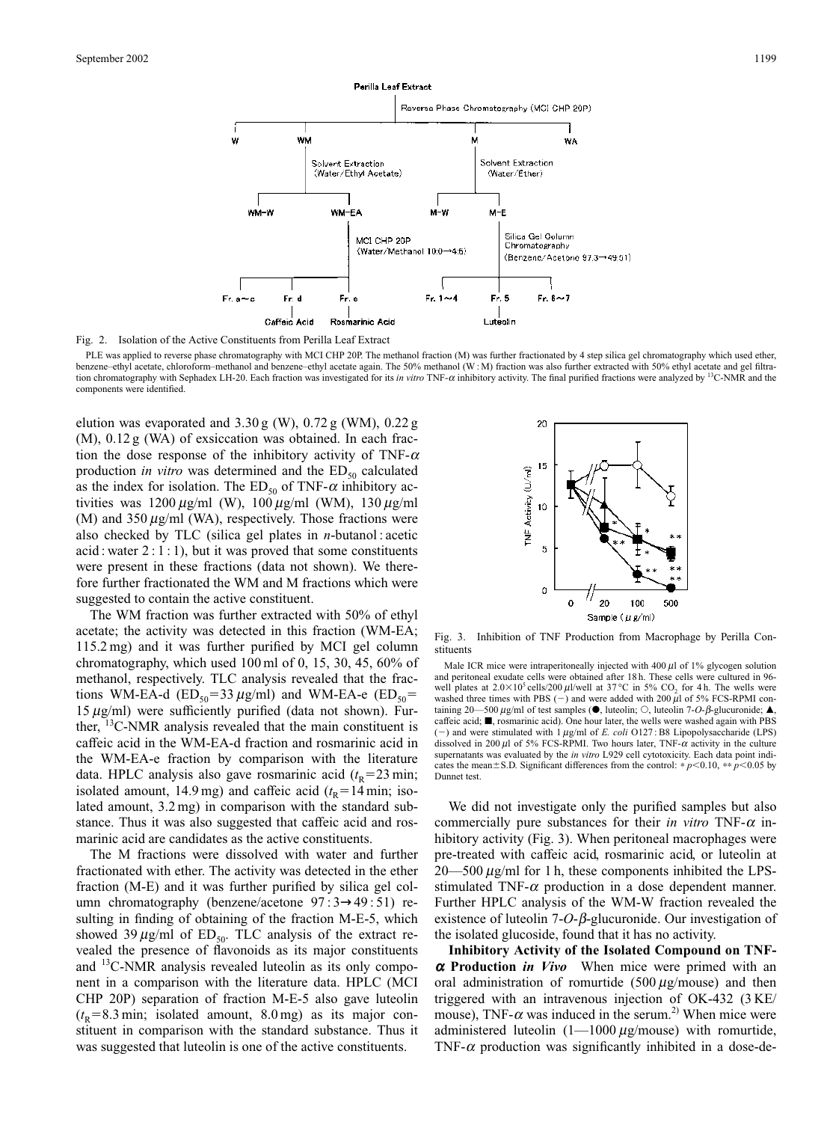

Fig. 2. Isolation of the Active Constituents from Perilla Leaf Extract

PLE was applied to reverse phase chromatography with MCI CHP 20P. The methanol fraction (M) was further fractionated by 4 step silica gel chromatography which used ether, benzene–ethyl acetate, chloroform–methanol and benzene–ethyl acetate again. The 50% methanol (W:M) fraction was also further extracted with 50% ethyl acetate and gel filtration chromatography with Sephadex LH-20. Each fraction was investigated for its *in vitro* TNF- $\alpha$  inhibitory activity. The final purified fractions were analyzed by <sup>13</sup>C-NMR and the components were identified.

elution was evaporated and 3.30 g (W), 0.72 g (WM), 0.22 g (M), 0.12 g (WA) of exsiccation was obtained. In each fraction the dose response of the inhibitory activity of TNF- $\alpha$ production *in vitro* was determined and the  $ED_{50}$  calculated as the index for isolation. The  $ED_{50}$  of TNF- $\alpha$  inhibitory activities was  $1200 \,\mu\text{g/ml}$  (W),  $100 \,\mu\text{g/ml}$  (WM),  $130 \,\mu\text{g/ml}$ (M) and 350  $\mu$ g/ml (WA), respectively. Those fractions were also checked by TLC (silica gel plates in *n*-butanol : acetic acid : water  $2:1:1$ ), but it was proved that some constituents were present in these fractions (data not shown). We therefore further fractionated the WM and M fractions which were suggested to contain the active constituent.

The WM fraction was further extracted with 50% of ethyl acetate; the activity was detected in this fraction (WM-EA; 115.2 mg) and it was further purified by MCI gel column chromatography, which used 100 ml of 0, 15, 30, 45, 60% of methanol, respectively. TLC analysis revealed that the fractions WM-EA-d ( $ED_{50}$ =33  $\mu$ g/ml) and WM-EA-e ( $ED_{50}$ = 15  $\mu$ g/ml) were sufficiently purified (data not shown). Further, 13C-NMR analysis revealed that the main constituent is caffeic acid in the WM-EA-d fraction and rosmarinic acid in the WM-EA-e fraction by comparison with the literature data. HPLC analysis also gave rosmarinic acid  $(t<sub>R</sub>=23$  min; isolated amount, 14.9 mg) and caffeic acid  $(t_R=14 \text{ min}; \text{ iso-}$ lated amount, 3.2 mg) in comparison with the standard substance. Thus it was also suggested that caffeic acid and rosmarinic acid are candidates as the active constituents.

The M fractions were dissolved with water and further fractionated with ether. The activity was detected in the ether fraction (M-E) and it was further purified by silica gel column chromatography (benzene/acetone 97 : 3→49 : 51) resulting in finding of obtaining of the fraction M-E-5, which showed 39  $\mu$ g/ml of ED<sub>50</sub>. TLC analysis of the extract revealed the presence of flavonoids as its major constituents and 13C-NMR analysis revealed luteolin as its only component in a comparison with the literature data. HPLC (MCI CHP 20P) separation of fraction M-E-5 also gave luteolin  $(t_R=8.3 \text{ min}; \text{ isolated amount}, 8.0 \text{ mg})$  as its major constituent in comparison with the standard substance. Thus it was suggested that luteolin is one of the active constituents.



Fig. 3. Inhibition of TNF Production from Macrophage by Perilla Constituents

Male ICR mice were intraperitoneally injected with  $400 \mu l$  of 1% glycogen solution and peritoneal exudate cells were obtained after 18 h. These cells were cultured in 96 well plates at  $2.0\times10^5$  cells/200  $\mu$ l/well at 37 °C in 5% CO<sub>2</sub> for 4 h. The wells were washed three times with PBS (-) and were added with 200  $\mu$ l of 5% FCS-RPMI containing 20—500  $\mu$ g/ml of test samples ( $\bullet$ , luteolin;  $\circ$ , luteolin 7-*O-* $\beta$ -glucuronide;  $\blacktriangle$ , caffeic acid;  $\blacksquare$ , rosmarinic acid). One hour later, the wells were washed again with PBS  $-$ ) and were stimulated with  $1 \mu g/ml$  of *E. coli* O127 : B8 Lipopolysaccharide (LPS) dissolved in 200  $\mu$ l of 5% FCS-RPMI. Two hours later, TNF- $\alpha$  activity in the culture supernatants was evaluated by the *in vitro* L929 cell cytotoxicity. Each data point indicates the mean $\pm$ S.D. Significant differences from the control: \* *p*<0.10, \*\* *p*<0.05 by Dunnet test.

We did not investigate only the purified samples but also commercially pure substances for their *in vitro*  $TNF-\alpha$  inhibitory activity (Fig. 3). When peritoneal macrophages were pre-treated with caffeic acid, rosmarinic acid, or luteolin at  $20$ —500  $\mu$ g/ml for 1 h, these components inhibited the LPSstimulated TNF- $\alpha$  production in a dose dependent manner. Further HPLC analysis of the WM-W fraction revealed the existence of luteolin  $7 - O - \beta$ -glucuronide. Our investigation of the isolated glucoside, found that it has no activity.

**Inhibitory Activity of the Isolated Compound on TNF**<sup>a</sup> **Production** *in Vivo* When mice were primed with an oral administration of romurtide (500  $\mu$ g/mouse) and then triggered with an intravenous injection of OK-432 (3 KE/ mouse), TNF- $\alpha$  was induced in the serum.<sup>2)</sup> When mice were administered luteolin  $(1-1000 \mu g/m$ ouse) with romurtide, TNF- $\alpha$  production was significantly inhibited in a dose-de-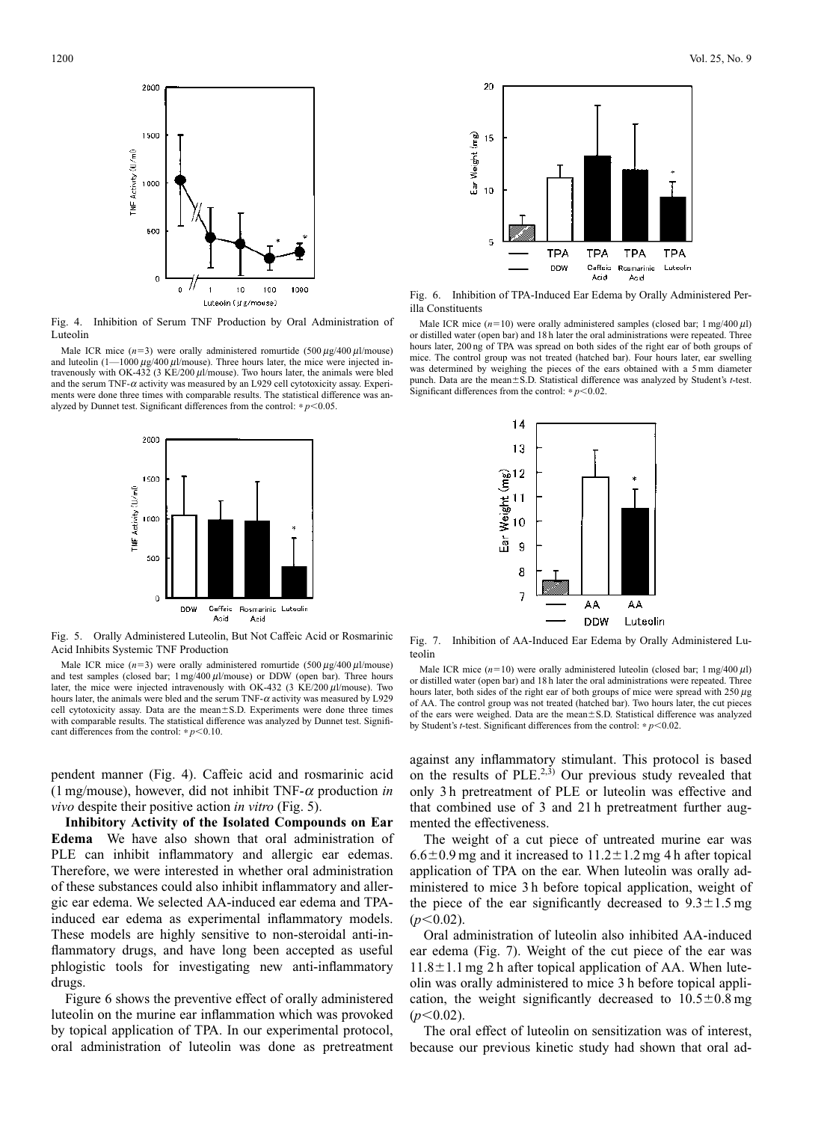

Fig. 4. Inhibition of Serum TNF Production by Oral Administration of Luteolin

Male ICR mice  $(n=3)$  were orally administered romurtide (500  $\mu$ g/400  $\mu$ 1/mouse) and luteolin  $(1 - 1000 \,\mu\text{g}/400 \,\mu\text{l/mouse})$ . Three hours later, the mice were injected intravenously with OK-432 (3 KE/200  $\mu$ l/mouse). Two hours later, the animals were bled and the serum TNF- $\alpha$  activity was measured by an L929 cell cytotoxicity assay. Experiments were done three times with comparable results. The statistical difference was analyzed by Dunnet test. Significant differences from the control:  $* p < 0.05$ .



Fig. 5. Orally Administered Luteolin, But Not Caffeic Acid or Rosmarinic Acid Inhibits Systemic TNF Production

Male ICR mice  $(n=3)$  were orally administered romurtide (500  $\mu$ g/400  $\mu$ l/mouse) and test samples (closed bar;  $1 \text{ mg}/400 \mu\text{l/mouse}$ ) or DDW (open bar). Three hours later, the mice were injected intravenously with OK-432 (3 KE/200  $\mu$ l/mouse). Two hours later, the animals were bled and the serum TNF- $\alpha$  activity was measured by L929 cell cytotoxicity assay. Data are the mean $\pm$ S.D. Experiments were done three times with comparable results. The statistical difference was analyzed by Dunnet test. Significant differences from the control:  $\ast p < 0.10$ .

pendent manner (Fig. 4). Caffeic acid and rosmarinic acid (1 mg/mouse), however, did not inhibit TNF- $\alpha$  production *in vivo* despite their positive action *in vitro* (Fig. 5).

**Inhibitory Activity of the Isolated Compounds on Ear Edema** We have also shown that oral administration of PLE can inhibit inflammatory and allergic ear edemas. Therefore, we were interested in whether oral administration of these substances could also inhibit inflammatory and allergic ear edema. We selected AA-induced ear edema and TPAinduced ear edema as experimental inflammatory models. These models are highly sensitive to non-steroidal anti-inflammatory drugs, and have long been accepted as useful phlogistic tools for investigating new anti-inflammatory drugs.

Figure 6 shows the preventive effect of orally administered luteolin on the murine ear inflammation which was provoked by topical application of TPA. In our experimental protocol, oral administration of luteolin was done as pretreatment



Fig. 6. Inhibition of TPA-Induced Ear Edema by Orally Administered Perilla Constituents

Male ICR mice  $(n=10)$  were orally administered samples (closed bar; 1 mg/400  $\mu$ l) or distilled water (open bar) and 18 h later the oral administrations were repeated. Three hours later, 200 ng of TPA was spread on both sides of the right ear of both groups of mice. The control group was not treated (hatched bar). Four hours later, ear swelling was determined by weighing the pieces of the ears obtained with a 5 mm diameter punch. Data are the mean $\pm$ S.D. Statistical difference was analyzed by Student's *t*-test. Significant differences from the control:  $p$  < 0.02.



Fig. 7. Inhibition of AA-Induced Ear Edema by Orally Administered Luteolin

against any inflammatory stimulant. This protocol is based on the results of PLE.<sup>2,3)</sup> Our previous study revealed that only 3 h pretreatment of PLE or luteolin was effective and that combined use of 3 and 21 h pretreatment further augmented the effectiveness.

The weight of a cut piece of untreated murine ear was  $6.6\pm0.9$  mg and it increased to  $11.2\pm1.2$  mg 4 h after topical application of TPA on the ear. When luteolin was orally administered to mice 3 h before topical application, weight of the piece of the ear significantly decreased to  $9.3 \pm 1.5$  mg  $(n<0.02)$ .

Oral administration of luteolin also inhibited AA-induced ear edema (Fig. 7). Weight of the cut piece of the ear was  $11.8 \pm 1.1$  mg 2 h after topical application of AA. When luteolin was orally administered to mice 3 h before topical application, the weight significantly decreased to  $10.5 \pm 0.8$  mg  $(p<0.02)$ .

The oral effect of luteolin on sensitization was of interest, because our previous kinetic study had shown that oral ad-

Male ICR mice  $(n=10)$  were orally administered luteolin (closed bar; 1 mg/400  $\mu$ l) or distilled water (open bar) and 18 h later the oral administrations were repeated. Three hours later, both sides of the right ear of both groups of mice were spread with  $250 \mu$ g of AA. The control group was not treated (hatched bar). Two hours later, the cut pieces of the ears were weighed. Data are the mean±S.D. Statistical difference was analyzed by Student's *t*-test. Significant differences from the control:  $* p < 0.02$ .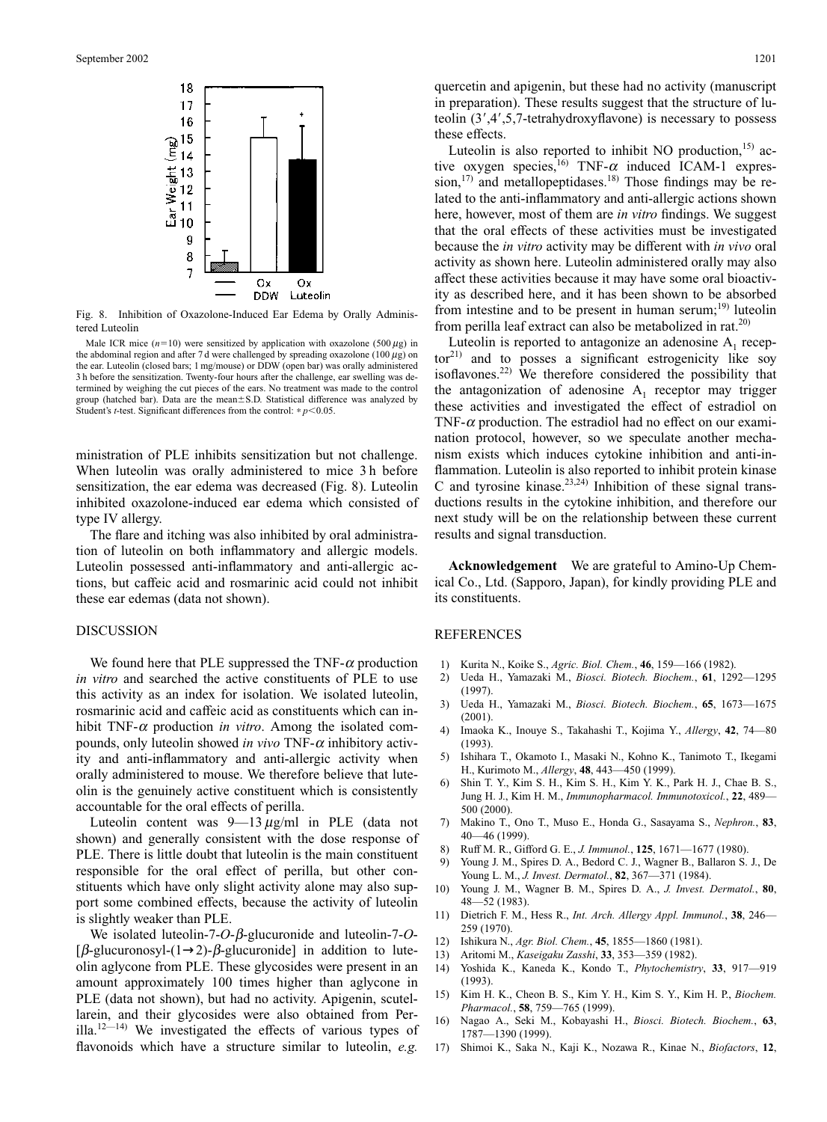

Fig. 8. Inhibition of Oxazolone-Induced Ear Edema by Orally Administered Luteolin

Male ICR mice  $(n=10)$  were sensitized by application with oxazolone (500  $\mu$ g) in the abdominal region and after 7 d were challenged by spreading oxazolone (100  $\mu$ g) on the ear. Luteolin (closed bars; 1 mg/mouse) or DDW (open bar) was orally administered 3 h before the sensitization. Twenty-four hours after the challenge, ear swelling was determined by weighing the cut pieces of the ears. No treatment was made to the control group (hatched bar). Data are the mean $\pm$ S.D. Statistical difference was analyzed by Student's *t*-test. Significant differences from the control:  $* p < 0.05$ .

ministration of PLE inhibits sensitization but not challenge. When luteolin was orally administered to mice 3 h before sensitization, the ear edema was decreased (Fig. 8). Luteolin inhibited oxazolone-induced ear edema which consisted of type IV allergy.

The flare and itching was also inhibited by oral administration of luteolin on both inflammatory and allergic models. Luteolin possessed anti-inflammatory and anti-allergic actions, but caffeic acid and rosmarinic acid could not inhibit these ear edemas (data not shown).

### DISCUSSION

We found here that PLE suppressed the TNF- $\alpha$  production *in vitro* and searched the active constituents of PLE to use this activity as an index for isolation. We isolated luteolin, rosmarinic acid and caffeic acid as constituents which can inhibit TNF- $\alpha$  production *in vitro*. Among the isolated compounds, only luteolin showed *in vivo* TNF- $\alpha$  inhibitory activity and anti-inflammatory and anti-allergic activity when orally administered to mouse. We therefore believe that luteolin is the genuinely active constituent which is consistently accountable for the oral effects of perilla.

Luteolin content was  $9-13 \mu g/ml$  in PLE (data not shown) and generally consistent with the dose response of PLE. There is little doubt that luteolin is the main constituent responsible for the oral effect of perilla, but other constituents which have only slight activity alone may also support some combined effects, because the activity of luteolin is slightly weaker than PLE.

We isolated luteolin-7- $O$ - $\beta$ -glucuronide and luteolin-7- $O$ -[ $\beta$ -glucuronosyl-(1→2)- $\beta$ -glucuronide] in addition to luteolin aglycone from PLE. These glycosides were present in an amount approximately 100 times higher than aglycone in PLE (data not shown), but had no activity. Apigenin, scutellarein, and their glycosides were also obtained from Perilla.<sup>12—14)</sup> We investigated the effects of various types of flavonoids which have a structure similar to luteolin, *e.g.*

quercetin and apigenin, but these had no activity (manuscript in preparation). These results suggest that the structure of luteolin  $(3', 4', 5, 7$ -tetrahydroxyflavone) is necessary to possess these effects.

Luteolin is also reported to inhibit NO production, $15$  active oxygen species,<sup>16)</sup> TNF- $\alpha$  induced ICAM-1 expression, $17$ ) and metallopeptidases.<sup>18)</sup> Those findings may be related to the anti-inflammatory and anti-allergic actions shown here, however, most of them are *in vitro* findings. We suggest that the oral effects of these activities must be investigated because the *in vitro* activity may be different with *in vivo* oral activity as shown here. Luteolin administered orally may also affect these activities because it may have some oral bioactivity as described here, and it has been shown to be absorbed from intestine and to be present in human serum; $^{19}$  luteolin from perilla leaf extract can also be metabolized in rat.<sup>20)</sup>

Luteolin is reported to antagonize an adenosine  $A_1$  recep $tor<sup>21</sup>$  and to posses a significant estrogenicity like soy isoflavones.22) We therefore considered the possibility that the antagonization of adenosine  $A_1$  receptor may trigger these activities and investigated the effect of estradiol on TNF- $\alpha$  production. The estradiol had no effect on our examination protocol, however, so we speculate another mechanism exists which induces cytokine inhibition and anti-inflammation. Luteolin is also reported to inhibit protein kinase C and tyrosine kinase.<sup>23,24)</sup> Inhibition of these signal transductions results in the cytokine inhibition, and therefore our next study will be on the relationship between these current results and signal transduction.

**Acknowledgement** We are grateful to Amino-Up Chemical Co., Ltd. (Sapporo, Japan), for kindly providing PLE and its constituents.

#### REFERENCES

- 1) Kurita N., Koike S., *Agric. Biol. Chem.*, **46**, 159—166 (1982).
- 2) Ueda H., Yamazaki M., *Biosci. Biotech. Biochem.*, **61**, 1292—1295 (1997).
- 3) Ueda H., Yamazaki M., *Biosci. Biotech. Biochem.*, **65**, 1673—1675 (2001).
- 4) Imaoka K., Inouye S., Takahashi T., Kojima Y., *Allergy*, **42**, 74—80 (1993).
- 5) Ishihara T., Okamoto I., Masaki N., Kohno K., Tanimoto T., Ikegami H., Kurimoto M., *Allergy*, **48**, 443—450 (1999).
- 6) Shin T. Y., Kim S. H., Kim S. H., Kim Y. K., Park H. J., Chae B. S., Jung H. J., Kim H. M., *Immunopharmacol. Immunotoxicol.*, **22**, 489— 500 (2000).
- 7) Makino T., Ono T., Muso E., Honda G., Sasayama S., *Nephron.*, **83**, 40—46 (1999).
- 8) Ruff M. R., Gifford G. E., *J. Immunol.*, **125**, 1671—1677 (1980).
- 9) Young J. M., Spires D. A., Bedord C. J., Wagner B., Ballaron S. J., De Young L. M., *J. Invest. Dermatol.*, **82**, 367—371 (1984).
- 10) Young J. M., Wagner B. M., Spires D. A., *J. Invest. Dermatol.*, **80**, 48—52 (1983).
- 11) Dietrich F. M., Hess R., *Int. Arch. Allergy Appl. Immunol.*, **38**, 246— 259 (1970).
- 12) Ishikura N., *Agr. Biol. Chem.*, **45**, 1855—1860 (1981).
- 13) Aritomi M., *Kaseigaku Zasshi*, **33**, 353—359 (1982).
- 14) Yoshida K., Kaneda K., Kondo T., *Phytochemistry*, **33**, 917—919 (1993).
- 15) Kim H. K., Cheon B. S., Kim Y. H., Kim S. Y., Kim H. P., *Biochem. Pharmacol.*, **58**, 759—765 (1999).
- 16) Nagao A., Seki M., Kobayashi H., *Biosci. Biotech. Biochem.*, **63**, 1787—1390 (1999).
- 17) Shimoi K., Saka N., Kaji K., Nozawa R., Kinae N., *Biofactors*, **12**,